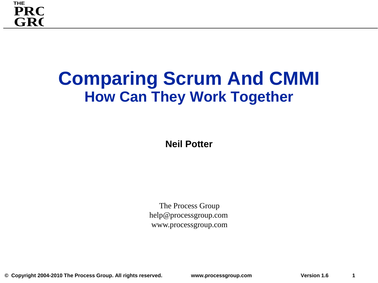

### **Comparing Scrum And CMMI How Can They Work Together**

**Neil Potter**

The Process Group help@processgroup.com www.processgroup.com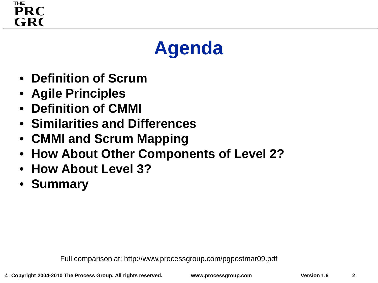### **THE** GR<sub>C</sub> **PRC**

# **Agenda**

- **Definition of Scrum**
- **Agile Principles**
- **Definition of CMMI**
- **Similarities and Differences**
- **CMMI and Scrum Mapping**
- **How About Other Components of Level 2?**
- **How About Level 3?**
- **Summary**

Full comparison at: http://www.processgroup.com/pgpostmar09.pdf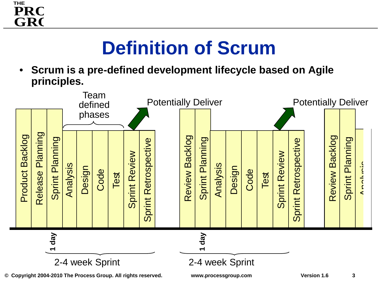

# **Definition of Scrum**

• **Scrum is a pre-defined development lifecycle based on Agile principles.** 



**3**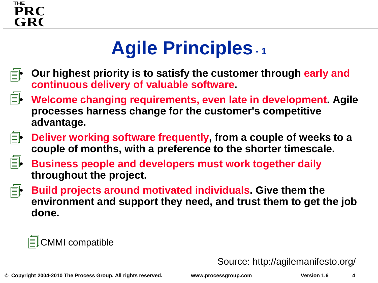

# **Agile Principles- <sup>1</sup>**



即

- **Our highest priority is to satisfy the customer through early and continuous delivery of valuable software.**
- **Welcome changing requirements, even late in development. Agile processes harness change for the customer's competitive advantage.**



• **Deliver working software frequently, from a couple of weeks to a couple of months, with a preference to the shorter timescale.**



- **Business people and developers must work together daily throughout the project.**
- f<sup>1</sup>
- **Build projects around motivated individuals. Give them the environment and support they need, and trust them to get the job done.**

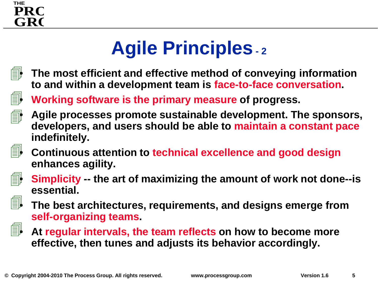

# **Agile Principles- <sup>2</sup>**



• **The most efficient and effective method of conveying information to and within a development team is face-to-face conversation.**

• **Working software is the primary measure of progress.**



1

• **Agile processes promote sustainable development. The sponsors, developers, and users should be able to maintain a constant pace indefinitely.**



• **Continuous attention to technical excellence and good design enhances agility.**



• **Simplicity -- the art of maximizing the amount of work not done--is essential.**



• **The best architectures, requirements, and designs emerge from self-organizing teams.**



• **At regular intervals, the team reflects on how to become more effective, then tunes and adjusts its behavior accordingly.**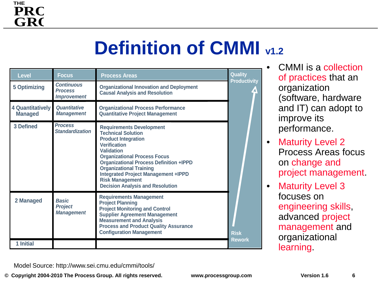# **Definition of CMMI**  $_{41.2}$

| <b>Level</b><br><b>5 Optimizing</b> | <b>Focus</b><br><b>Continuous</b><br><b>Process</b><br><b>Improvement</b> | <b>Process Areas</b><br><b>Organizational Innovation and Deployment</b><br><b>Causal Analysis and Resolution</b>                                                                                                                                                                                                                                                                     | <b>Quality</b><br><b>Productivity</b> |
|-------------------------------------|---------------------------------------------------------------------------|--------------------------------------------------------------------------------------------------------------------------------------------------------------------------------------------------------------------------------------------------------------------------------------------------------------------------------------------------------------------------------------|---------------------------------------|
| 4 Quantitatively<br><b>Managed</b>  | <b>Quantitative</b><br><b>Management</b>                                  | <b>Organizational Process Performance</b><br><b>Quantitative Project Management</b>                                                                                                                                                                                                                                                                                                  |                                       |
| 3 Defined                           | <b>Process</b><br><b>Standardization</b>                                  | <b>Requirements Development</b><br><b>Technical Solution</b><br><b>Product Integration</b><br><b>Verification</b><br><b>Validation</b><br><b>Organizational Process Focus</b><br><b>Organizational Process Definition +IPPD</b><br><b>Organizational Training</b><br><b>Integrated Project Management +IPPD</b><br><b>Risk Management</b><br><b>Decision Analysis and Resolution</b> |                                       |
| 2 Managed                           | <b>Basic</b><br><b>Project</b><br><b>Management</b>                       | <b>Requirements Management</b><br><b>Project Planning</b><br><b>Project Monitoring and Control</b><br><b>Supplier Agreement Management</b><br><b>Measurement and Analysis</b><br><b>Process and Product Quality Assurance</b><br><b>Configuration Management</b>                                                                                                                     | <b>Risk</b><br><b>Rework</b>          |
| 1 Initial                           |                                                                           |                                                                                                                                                                                                                                                                                                                                                                                      |                                       |

• CMMI is a collection of practices that an organization (software, hardware and IT) can adopt to improve its performance.

- **Maturity Level 2** Process Areas focus on change and project management.
- **Maturity Level 3** focuses on engineering skills, advanced project management and organizational **learning**

Model Source: http://www.sei.cmu.edu/cmmi/tools/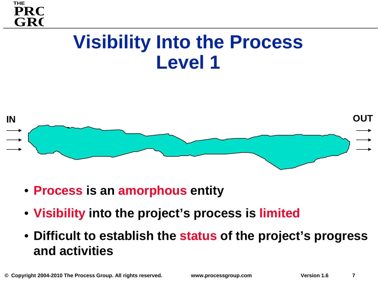



- **Process is an amorphous entity**
- **Visibility into the project's process is limited**
- **Difficult to establish the status of the project's progress and activities**

**THE**

**GRC** 

**PRC**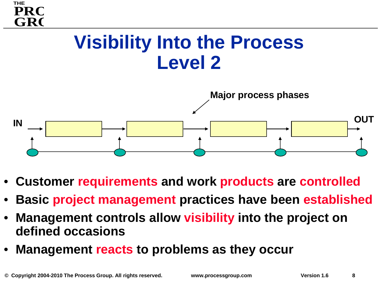# **GRC PRC Visibility Into the Process Level 2 Major process phases IN OUT**

- **Customer requirements and work products are controlled**
- **Basic project management practices have been established**
- **Management controls allow visibility into the project on defined occasions**
- **Management reacts to problems as they occur**

**THE**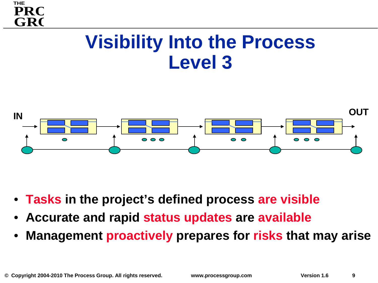## **Visibility Into the Process Level 3**



- **Tasks in the project's defined process are visible**
- **Accurate and rapid status updates are available**
- **Management proactively prepares for risks that may arise**

**THE**

**GR(** 

**PRC**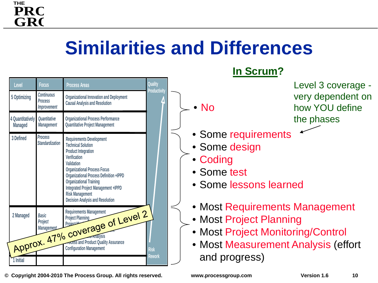# **Similarities and Differences**

|                                                | Level                              | <b>Focus</b>                                              | <b>Process Areas</b>                                                                                                                                                                                                                                                                                                                                            | Quality             |                                |
|------------------------------------------------|------------------------------------|-----------------------------------------------------------|-----------------------------------------------------------------------------------------------------------------------------------------------------------------------------------------------------------------------------------------------------------------------------------------------------------------------------------------------------------------|---------------------|--------------------------------|
|                                                | 5 Optimizing                       | <b>Continuous</b><br><b>Process</b><br><b>Improvement</b> | <b>Organizational Innovation and Deployment</b><br><b>Causal Analysis and Resolution</b>                                                                                                                                                                                                                                                                        | <b>Productivity</b> | No                             |
|                                                | 4 Quantitatively<br><b>Managed</b> | Quantitative<br><b>Management</b>                         | <b>Organizational Process Performance</b><br><b>Quantitative Project Management</b>                                                                                                                                                                                                                                                                             |                     |                                |
|                                                | 3 Defined                          | <b>Process</b><br><b>Standardization</b>                  | <b>Requirements Development</b><br><b>Technical Solution</b><br><b>Product Integration</b><br>Verification<br>Validation<br><b>Organizational Process Focus</b><br><b>Organizational Process Definition +IPPD</b><br><b>Organizational Training</b><br>Integrated Project Management +IPPD<br><b>Risk Management</b><br><b>Decision Analysis and Resolution</b> |                     | Sor<br>Sor<br>Co<br>Sor<br>Sor |
| Approx. 47% coverage of Level 2<br><b>Risk</b> |                                    |                                                           | Mo<br><b>Mo</b><br>Mo<br>M <sub>O</sub>                                                                                                                                                                                                                                                                                                                         |                     |                                |
|                                                | 1 Initial                          |                                                           |                                                                                                                                                                                                                                                                                                                                                                 | <b>Rework</b>       | anc                            |

**THE**

**GRC** 

**PRC** 

**© Copyright 2004-2010 The Process Group. All rights reserved. www.processgroup.com Version 1.6**

| • Most Requirements Management |  |
|--------------------------------|--|
| • Most Project Planning        |  |

• Some requirements

**In Scrum?**

• Some lessons learned

• Some design

• Coding

• Some test

- Most Project Monitoring/Control
- Most Measurement Analysis (effort and progress)

Level 3 coverage very dependent on how YOU define the phases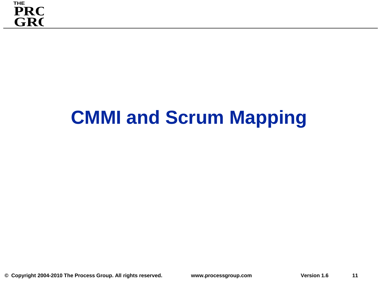# **CMMI and Scrum Mapping**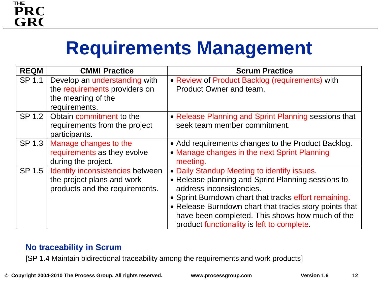# **Requirements Management**

| <b>REQM</b> | <b>CMMI Practice</b>                                                                                  | <b>Scrum Practice</b>                                                                                                                                                                                                                                                                                                                             |
|-------------|-------------------------------------------------------------------------------------------------------|---------------------------------------------------------------------------------------------------------------------------------------------------------------------------------------------------------------------------------------------------------------------------------------------------------------------------------------------------|
| SP 1.1      | Develop an understanding with<br>the requirements providers on<br>the meaning of the<br>requirements. | • Review of Product Backlog (requirements) with<br>Product Owner and team.                                                                                                                                                                                                                                                                        |
| SP 1.2      | Obtain commitment to the<br>requirements from the project<br>participants.                            | • Release Planning and Sprint Planning sessions that<br>seek team member commitment.                                                                                                                                                                                                                                                              |
| SP 1.3      | Manage changes to the<br>requirements as they evolve<br>during the project.                           | • Add requirements changes to the Product Backlog.<br>• Manage changes in the next Sprint Planning<br>meeting.                                                                                                                                                                                                                                    |
| SP 1.5      | Identify inconsistencies between<br>the project plans and work<br>products and the requirements.      | • Daily Standup Meeting to identify issues.<br>• Release planning and Sprint Planning sessions to<br>address inconsistencies.<br>• Sprint Burndown chart that tracks effort remaining.<br>• Release Burndown chart that tracks story points that<br>have been completed. This shows how much of the<br>product functionality is left to complete. |

### **No traceability in Scrum**

[SP 1.4 Maintain bidirectional traceability among the requirements and work products]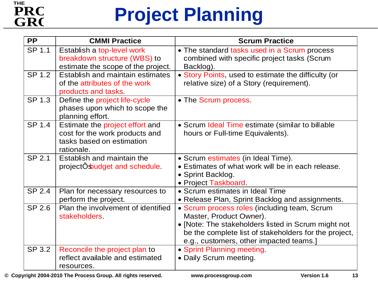### **THE** GR<sub>(</sub> **PRO**

# **Project Planning**

| <b>PP</b> | <b>CMMI Practice</b>                                                                                         | <b>Scrum Practice</b>                                                                                                                                                                                                              |
|-----------|--------------------------------------------------------------------------------------------------------------|------------------------------------------------------------------------------------------------------------------------------------------------------------------------------------------------------------------------------------|
| SP 1.1    | Establish a top-level work<br>breakdown structure (WBS) to<br>estimate the scope of the project.             | • The standard tasks used in a Scrum process<br>combined with specific project tasks (Scrum<br>Backlog).                                                                                                                           |
| SP 1.2    | Establish and maintain estimates<br>of the attributes of the work<br>products and tasks.                     | • Story Points, used to estimate the difficulty (or<br>relative size) of a Story (requirement).                                                                                                                                    |
| SP 1.3    | Define the project life-cycle<br>phases upon which to scope the<br>planning effort.                          | • The Scrum process.                                                                                                                                                                                                               |
| SP 1.4    | Estimate the project effort and<br>cost for the work products and<br>tasks based on estimation<br>rationale. | • Scrum Ideal Time estimate (similar to billable<br>hours or Full-time Equivalents).                                                                                                                                               |
| SP 2.1    | Establish and maintain the<br>projectOsbudget and schedule.                                                  | • Scrum estimates (in Ideal Time).<br>• Estimates of what work will be in each release.<br>• Sprint Backlog.<br>• Project Taskboard.                                                                                               |
| SP 2.4    | Plan for necessary resources to<br>perform the project.                                                      | • Scrum estimates in Ideal Time<br>• Release Plan, Sprint Backlog and assignments.                                                                                                                                                 |
| SP 2.6    | Plan the involvement of identified<br>stakeholders                                                           | • Scrum process roles (including team, Scrum<br>Master, Product Owner).<br>• [Note: The stakeholders listed in Scrum might not<br>be the complete list of stakeholders for the project,<br>e.g., customers, other impacted teams.] |
| SP 3.2    | Reconcile the project plan to<br>reflect available and estimated<br>resources.                               | • Sprint Planning meeting<br>• Daily Scrum meeting.                                                                                                                                                                                |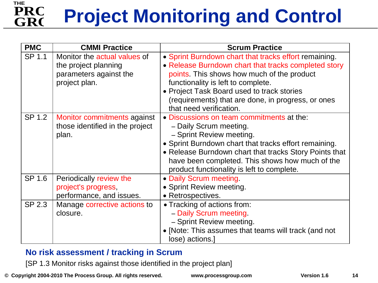#### **THE** GR<sub>O</sub> **PRO Project Monitoring and Control**

| <b>PMC</b> | <b>CMMI Practice</b>                                                                            | <b>Scrum Practice</b>                                                                                                                                                                                                                                                                                                            |
|------------|-------------------------------------------------------------------------------------------------|----------------------------------------------------------------------------------------------------------------------------------------------------------------------------------------------------------------------------------------------------------------------------------------------------------------------------------|
| SP 1.1     | Monitor the actual values of<br>the project planning<br>parameters against the<br>project plan. | • Sprint Burndown chart that tracks effort remaining.<br>• Release Burndown chart that tracks completed story<br>points. This shows how much of the product<br>functionality is left to complete.<br>• Project Task Board used to track stories<br>(requirements) that are done, in progress, or ones<br>that need verification. |
| SP 1.2     | Monitor commitments against<br>those identified in the project<br>plan.                         | . Discussions on team commitments at the:<br>- Daily Scrum meeting.<br>- Sprint Review meeting.<br>• Sprint Burndown chart that tracks effort remaining.<br>• Release Burndown chart that tracks Story Points that<br>have been completed. This shows how much of the<br>product functionality is left to complete.              |
| SP 1.6     | Periodically review the<br>project's progress,<br>performance, and issues.                      | • Daily Scrum meeting<br>• Sprint Review meeting.<br>• Retrospectives.                                                                                                                                                                                                                                                           |
| SP 2.3     | Manage corrective actions to<br>closure.                                                        | • Tracking of actions from:<br>- Daily Scrum meeting.<br>- Sprint Review meeting.<br>• [Note: This assumes that teams will track (and not<br>lose) actions.]                                                                                                                                                                     |

### **No risk assessment / tracking in Scrum**

[SP 1.3 Monitor risks against those identified in the project plan]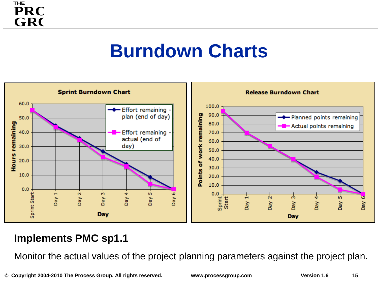### **THE** GR<sub>C</sub> **PRO**

### **Burndown Charts**



### **Implements PMC sp1.1**

Monitor the actual values of the project planning parameters against the project plan.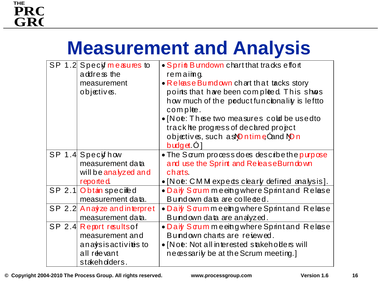# **Measurement and Analysis**

| SP 1.2 Specif measures to<br>address the | • Sprint Bundown chart that tracks effort<br>remaimg. |
|------------------------------------------|-------------------------------------------------------|
| measurement                              | • Release Bumdown chart that tacks story              |
| objectives.                              | points that have been compleed. This shows            |
|                                          | how much of the poduct functionality is left to       |
|                                          | comple.                                               |
|                                          | • [Noe: These two measures cold be usedto             |
|                                          | track he progress of decared propect                  |
|                                          | objectives, such as <b>Ontime Cand NOn</b>            |
|                                          | $b$ udget. $O$                                        |
| SP 1.4 Specif how                        | • The Sarum process does describe the purpose         |
| measurement data                         | and use the Sprint and ReleaseBurn down               |
| will be analyzed and                     | chats.                                                |
| reported                                 | $\bullet$ [Noe: CMM expeds clearly defined analysis]. |
| SP 2.1 Obtain specified                  | • Daiy Sorum meeth gwhere Sprint and Relase           |
| measurement data.                        | Bundown data are colleded.                            |
| SP 2.2 Anayze and interpret              | • Daiy Sorummeeing where Sprintand Relase             |
| measurement data.                        | Bundown data are analyzed.                            |
| SP 2.4 Report results of                 | • Daiy Sorum meethg where Sprint and Relase           |
| measurement and                          | Bundown charts are rejewed.                           |
| anaysis activitis to                     | • [Noe: Not all interested stakehoders will           |
| all reevant                              | ne cessarily be at the Scrum meeting.]                |
| stakehdders.                             |                                                       |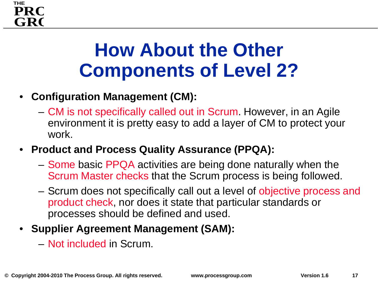

# **How About the Other Components of Level 2?**

### • **Configuration Management (CM):**

- CM is not specifically called out in Scrum. However, in an Agile environment it is pretty easy to add a layer of CM to protect your work.
- **Product and Process Quality Assurance (PPQA):** 
	- Some basic PPQA activities are being done naturally when the Scrum Master checks that the Scrum process is being followed.
	- Scrum does not specifically call out a level of objective process and product check, nor does it state that particular standards or processes should be defined and used.

### • **Supplier Agreement Management (SAM):**

– Not included in Scrum.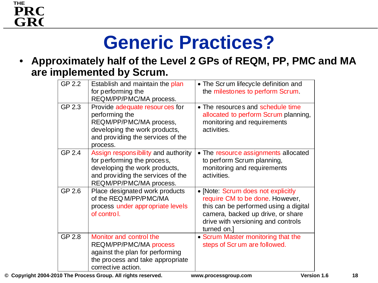### **THE** GR<sub>C</sub> **PRO**

# **Generic Practices?**

• **Approximately half of the Level 2 GPs of REQM, PP, PMC and MA are implemented by Scrum.** 

| GP 2.2 | Establish and maintain the plan<br>for performing the<br>REQM/PP/PMC/MA process.                                                                                    | • The Scrum lifecycle definition and<br>the milestones to perform Scrum.                                                                                                                                 |
|--------|---------------------------------------------------------------------------------------------------------------------------------------------------------------------|----------------------------------------------------------------------------------------------------------------------------------------------------------------------------------------------------------|
| GP 2.3 | Provide adequate resour ces for<br>performing the<br>REQM/PP/PMC/MA process,<br>developing the work products,<br>and providing the services of the<br>process.      | • The resources and schedule time<br>allocated to perform Scrum planning,<br>monitoring and requirements<br>activities.                                                                                  |
| GP 2.4 | Assign responsibility and authority<br>for performing the process,<br>developing the work products,<br>and providing the services of the<br>REQM/PP/PMC/MA process. | • The resource assignments allocated<br>to perform Scrum planning,<br>monitoring and requirements<br>activities.                                                                                         |
| GP 2.6 | Place designated work products<br>of the REQ M/PP/PMC/MA<br>process under appropriate levels<br>of control.                                                         | • [Note: Scrum does not explicitly<br>require CM to be done. However,<br>this can be performed using a digital<br>camera, backed up drive, or share<br>drive with versioning and controls<br>turned on.] |
| GP 2.8 | Monitor and control the<br><b>REQM/PP/PMC/MA process</b><br>against the plan for performing<br>the process and take appropriate<br>corrective action.               | • Scrum Master monitoring that the<br>steps of Scr um are followed.                                                                                                                                      |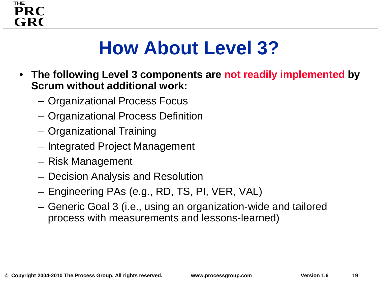

# **How About Level 3?**

- **The following Level 3 components are not readily implemented by Scrum without additional work:**
	- Organizational Process Focus
	- Organizational Process Definition
	- Organizational Training
	- Integrated Project Management
	- Risk Management
	- Decision Analysis and Resolution
	- Engineering PAs (e.g., RD, TS, PI, VER, VAL)
	- Generic Goal 3 (i.e., using an organization-wide and tailored process with measurements and lessons-learned)

**19**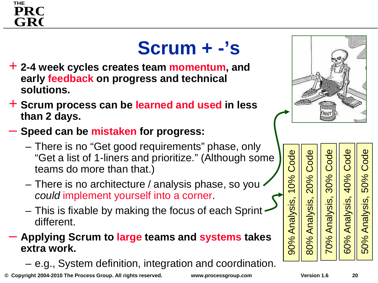### **THE** GR<sub>O</sub> **PRC**

# **Scrum + -'s**

- + **2-4 week cycles creates team momentum, and early feedback on progress and technical solutions.**
- + **Scrum process can be learned and used in less than 2 days.**
- **Speed can be mistaken for progress:**
	- There is no "Get good requirements" phase, only "Get a list of 1-liners and prioritize." (Although some teams do more than that.)
	- There is no architecture / analysis phase, so you *could* implement yourself into a corner.
	- This is fixable by making the focus of each Sprint different.

### – **Applying Scrum to large teams and systems takes extra work.**

– e.g., System definition, integration and coordination.

**© Copyright 2004-2010 The Process Group. All rights reserved. www.processgroup.com Version 1.6**



Code Code Code ode 70% Analysis, 30% Code 60% Analysis, 40% Code 50% Analysis, 50% Code80% Analysis, 20% Code  $\overline{C}$ 40% 0% 50% 20% 60% Analysis, 50% Analysis, Analysis, Analysis 70% 80%

90% Analysis, 10% Code

90% Analysis,

Code

0%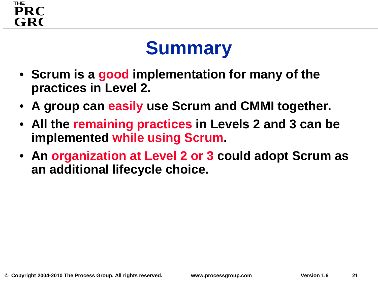### **THE** GR<sub>O</sub> **PRC**

# **Summary**

- **Scrum is a good implementation for many of the practices in Level 2.**
- **A group can easily use Scrum and CMMI together.**
- **All the remaining practices in Levels 2 and 3 can be implemented while using Scrum.**
- **An organization at Level 2 or 3 could adopt Scrum as an additional lifecycle choice.**